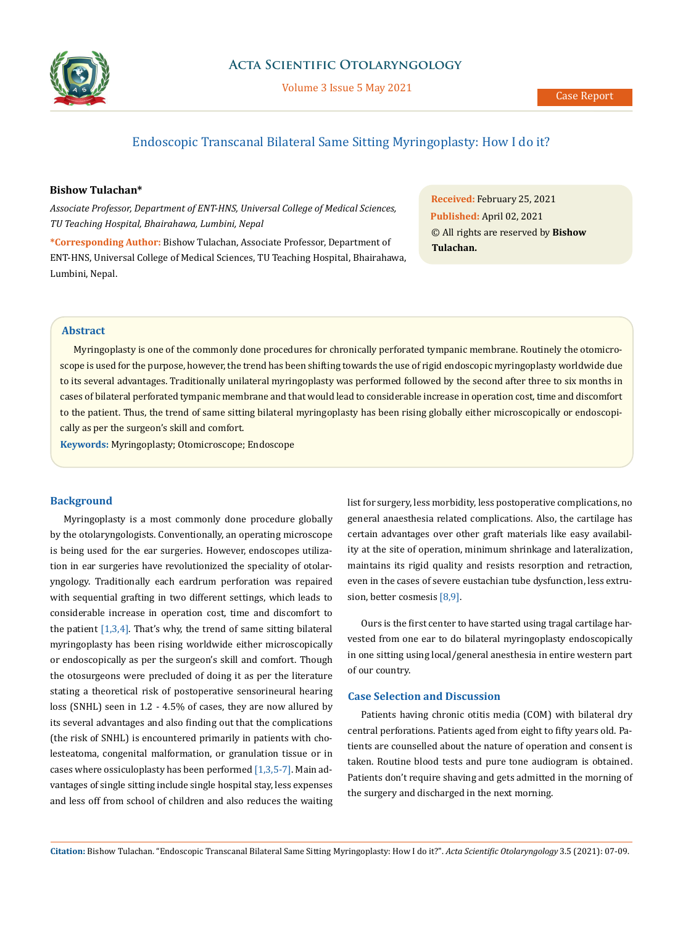

## **Acta Scientific Otolaryngology**

Volume 3 Issue 5 May 2021

# Endoscopic Transcanal Bilateral Same Sitting Myringoplasty: How I do it?

## **Bishow Tulachan\***

*Associate Professor, Department of ENT-HNS, Universal College of Medical Sciences, TU Teaching Hospital, Bhairahawa, Lumbini, Nepal*

**\*Corresponding Author:** Bishow Tulachan, Associate Professor, Department of ENT-HNS, Universal College of Medical Sciences, TU Teaching Hospital, Bhairahawa, Lumbini, Nepal.

**Received:** February 25, 2021 **Published:** April 02, 2021 © All rights are reserved by **Bishow Tulachan.**

### **Abstract**

Myringoplasty is one of the commonly done procedures for chronically perforated tympanic membrane. Routinely the otomicroscope is used for the purpose, however, the trend has been shifting towards the use of rigid endoscopic myringoplasty worldwide due to its several advantages. Traditionally unilateral myringoplasty was performed followed by the second after three to six months in cases of bilateral perforated tympanic membrane and that would lead to considerable increase in operation cost, time and discomfort to the patient. Thus, the trend of same sitting bilateral myringoplasty has been rising globally either microscopically or endoscopically as per the surgeon's skill and comfort.

**Keywords:** Myringoplasty; Otomicroscope; Endoscope

### **Background**

Myringoplasty is a most commonly done procedure globally by the otolaryngologists. Conventionally, an operating microscope is being used for the ear surgeries. However, endoscopes utilization in ear surgeries have revolutionized the speciality of otolaryngology. Traditionally each eardrum perforation was repaired with sequential grafting in two different settings, which leads to considerable increase in operation cost, time and discomfort to the patient  $[1,3,4]$ . That's why, the trend of same sitting bilateral myringoplasty has been rising worldwide either microscopically or endoscopically as per the surgeon's skill and comfort. Though the otosurgeons were precluded of doing it as per the literature stating a theoretical risk of postoperative sensorineural hearing loss (SNHL) seen in 1.2 - 4.5% of cases, they are now allured by its several advantages and also finding out that the complications (the risk of SNHL) is encountered primarily in patients with cholesteatoma, congenital malformation, or granulation tissue or in cases where ossiculoplasty has been performed  $[1,3,5-7]$ . Main advantages of single sitting include single hospital stay, less expenses and less off from school of children and also reduces the waiting list for surgery, less morbidity, less postoperative complications, no general anaesthesia related complications. Also, the cartilage has certain advantages over other graft materials like easy availability at the site of operation, minimum shrinkage and lateralization, maintains its rigid quality and resists resorption and retraction, even in the cases of severe eustachian tube dysfunction, less extrusion, better cosmesis [8,9].

Ours is the first center to have started using tragal cartilage harvested from one ear to do bilateral myringoplasty endoscopically in one sitting using local/general anesthesia in entire western part of our country.

### **Case Selection and Discussion**

Patients having chronic otitis media (COM) with bilateral dry central perforations. Patients aged from eight to fifty years old. Patients are counselled about the nature of operation and consent is taken. Routine blood tests and pure tone audiogram is obtained. Patients don't require shaving and gets admitted in the morning of the surgery and discharged in the next morning.

**Citation:** Bishow Tulachan*.* "Endoscopic Transcanal Bilateral Same Sitting Myringoplasty: How I do it?". *Acta Scientific Otolaryngology* 3.5 (2021): 07-09.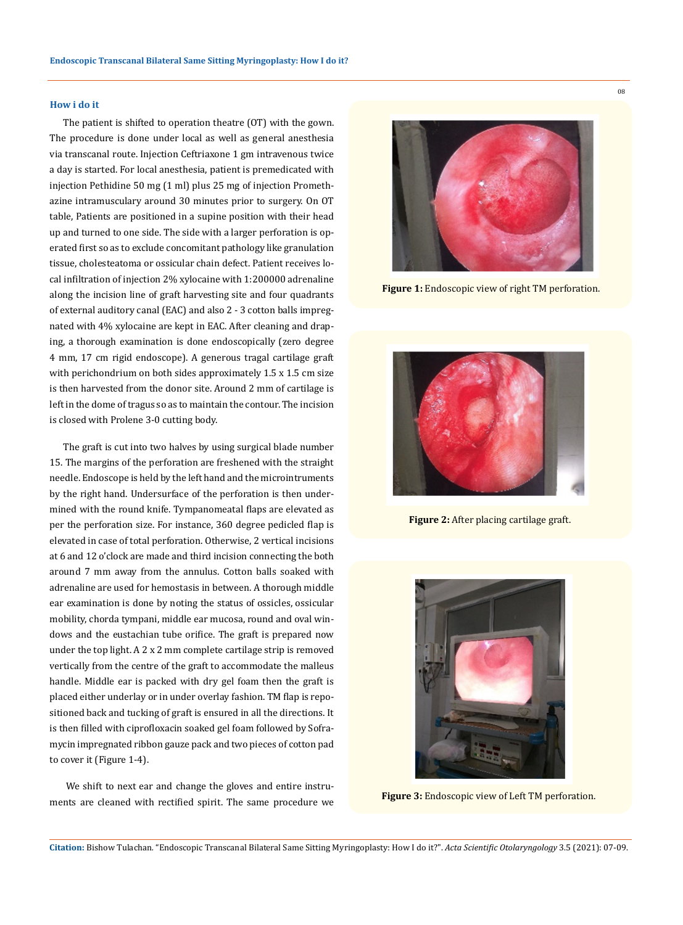#### **How i do it**

The patient is shifted to operation theatre (OT) with the gown. The procedure is done under local as well as general anesthesia via transcanal route. Injection Ceftriaxone 1 gm intravenous twice a day is started. For local anesthesia, patient is premedicated with injection Pethidine 50 mg (1 ml) plus 25 mg of injection Promethazine intramusculary around 30 minutes prior to surgery. On OT table, Patients are positioned in a supine position with their head up and turned to one side. The side with a larger perforation is operated first so as to exclude concomitant pathology like granulation tissue, cholesteatoma or ossicular chain defect. Patient receives local infiltration of injection 2% xylocaine with 1:200000 adrenaline along the incision line of graft harvesting site and four quadrants of external auditory canal (EAC) and also 2 - 3 cotton balls impregnated with 4% xylocaine are kept in EAC. After cleaning and draping, a thorough examination is done endoscopically (zero degree 4 mm, 17 cm rigid endoscope). A generous tragal cartilage graft with perichondrium on both sides approximately 1.5 x 1.5 cm size is then harvested from the donor site. Around 2 mm of cartilage is left in the dome of tragus so as to maintain the contour. The incision is closed with Prolene 3-0 cutting body.

The graft is cut into two halves by using surgical blade number 15. The margins of the perforation are freshened with the straight needle. Endoscope is held by the left hand and the microintruments by the right hand. Undersurface of the perforation is then undermined with the round knife. Tympanomeatal flaps are elevated as per the perforation size. For instance, 360 degree pedicled flap is elevated in case of total perforation. Otherwise, 2 vertical incisions at 6 and 12 o'clock are made and third incision connecting the both around 7 mm away from the annulus. Cotton balls soaked with adrenaline are used for hemostasis in between. A thorough middle ear examination is done by noting the status of ossicles, ossicular mobility, chorda tympani, middle ear mucosa, round and oval windows and the eustachian tube orifice. The graft is prepared now under the top light. A 2 x 2 mm complete cartilage strip is removed vertically from the centre of the graft to accommodate the malleus handle. Middle ear is packed with dry gel foam then the graft is placed either underlay or in under overlay fashion. TM flap is repositioned back and tucking of graft is ensured in all the directions. It is then filled with ciprofloxacin soaked gel foam followed by Soframycin impregnated ribbon gauze pack and two pieces of cotton pad to cover it (Figure 1-4).

 We shift to next ear and change the gloves and entire instruments are cleaned with rectified spirit. The same procedure we **Figure 3:** Endoscopic view of Left TM perforation.



**Figure 1:** Endoscopic view of right TM perforation.



**Figure 2:** After placing cartilage graft.